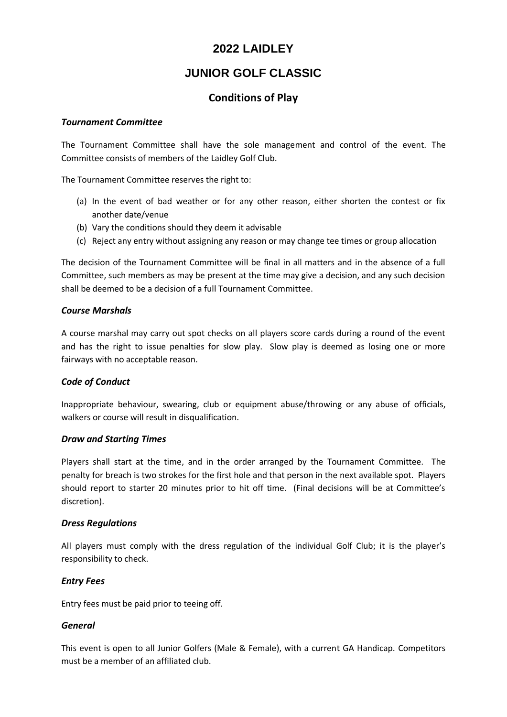# **2022 LAIDLEY**

# **JUNIOR GOLF CLASSIC**

# **Conditions of Play**

### *Tournament Committee*

The Tournament Committee shall have the sole management and control of the event. The Committee consists of members of the Laidley Golf Club.

The Tournament Committee reserves the right to:

- (a) In the event of bad weather or for any other reason, either shorten the contest or fix another date/venue
- (b) Vary the conditions should they deem it advisable
- (c) Reject any entry without assigning any reason or may change tee times or group allocation

The decision of the Tournament Committee will be final in all matters and in the absence of a full Committee, such members as may be present at the time may give a decision, and any such decision shall be deemed to be a decision of a full Tournament Committee.

### *Course Marshals*

A course marshal may carry out spot checks on all players score cards during a round of the event and has the right to issue penalties for slow play. Slow play is deemed as losing one or more fairways with no acceptable reason.

### *Code of Conduct*

Inappropriate behaviour, swearing, club or equipment abuse/throwing or any abuse of officials, walkers or course will result in disqualification.

### *Draw and Starting Times*

Players shall start at the time, and in the order arranged by the Tournament Committee. The penalty for breach is two strokes for the first hole and that person in the next available spot. Players should report to starter 20 minutes prior to hit off time. (Final decisions will be at Committee's discretion).

### *Dress Regulations*

All players must comply with the dress regulation of the individual Golf Club; it is the player's responsibility to check.

### *Entry Fees*

Entry fees must be paid prior to teeing off.

### *General*

This event is open to all Junior Golfers (Male & Female), with a current GA Handicap. Competitors must be a member of an affiliated club.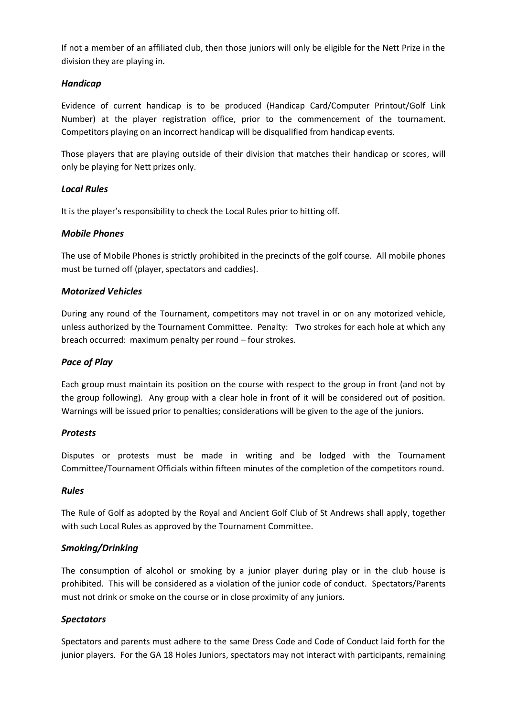If not a member of an affiliated club, then those juniors will only be eligible for the Nett Prize in the division they are playing in.

## *Handicap*

Evidence of current handicap is to be produced (Handicap Card/Computer Printout/Golf Link Number) at the player registration office, prior to the commencement of the tournament. Competitors playing on an incorrect handicap will be disqualified from handicap events.

Those players that are playing outside of their division that matches their handicap or scores, will only be playing for Nett prizes only.

### *Local Rules*

It is the player's responsibility to check the Local Rules prior to hitting off.

### *Mobile Phones*

The use of Mobile Phones is strictly prohibited in the precincts of the golf course. All mobile phones must be turned off (player, spectators and caddies).

### *Motorized Vehicles*

During any round of the Tournament, competitors may not travel in or on any motorized vehicle, unless authorized by the Tournament Committee. Penalty: Two strokes for each hole at which any breach occurred: maximum penalty per round – four strokes.

### *Pace of Play*

Each group must maintain its position on the course with respect to the group in front (and not by the group following). Any group with a clear hole in front of it will be considered out of position. Warnings will be issued prior to penalties; considerations will be given to the age of the juniors.

### *Protests*

Disputes or protests must be made in writing and be lodged with the Tournament Committee/Tournament Officials within fifteen minutes of the completion of the competitors round.

### *Rules*

The Rule of Golf as adopted by the Royal and Ancient Golf Club of St Andrews shall apply, together with such Local Rules as approved by the Tournament Committee.

### *Smoking/Drinking*

The consumption of alcohol or smoking by a junior player during play or in the club house is prohibited. This will be considered as a violation of the junior code of conduct. Spectators/Parents must not drink or smoke on the course or in close proximity of any juniors.

### *Spectators*

Spectators and parents must adhere to the same Dress Code and Code of Conduct laid forth for the junior players. For the GA 18 Holes Juniors, spectators may not interact with participants, remaining